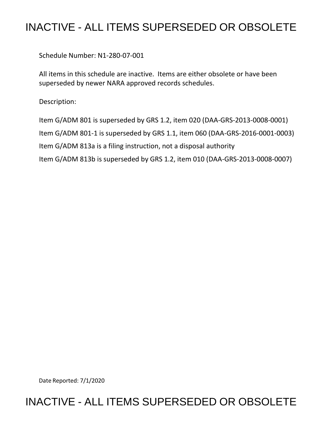## INACTIVE - ALL ITEMS SUPERSEDED OR OBSOLETE

Schedule Number: N1-280-07-001

 All items in this schedule are inactive. Items are either obsolete or have been superseded by newer NARA approved records schedules.

Description:

 Item G/ADM 801 is superseded by GRS 1.2, item 020 (DAA-GRS-2013-0008-0001) Item G/ADM 801-1 is superseded by GRS 1.1, item 060 (DAA-GRS-2016-0001-0003) Item G/ADM 813b is superseded by GRS 1.2, item 010 (DAA-GRS-2013-0008-0007) Item G/ADM 813a is a filing instruction, not a disposal authority

Date Reported: 7/1/2020

## INACTIVE - ALL ITEMS SUPERSEDED OR OBSOLETE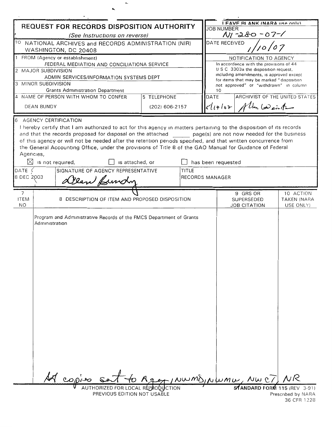| <b>REQUEST FOR RECORDS DISPOSITION AUTHORITY</b>                                                                     |                                                                                       |                                                                                                                                                                                                                           |                |                                                                                  | I FAVE BI ANK (NARA IISA ONIV)<br><b>JOB NUMBER</b> |                                   |                          |  |
|----------------------------------------------------------------------------------------------------------------------|---------------------------------------------------------------------------------------|---------------------------------------------------------------------------------------------------------------------------------------------------------------------------------------------------------------------------|----------------|----------------------------------------------------------------------------------|-----------------------------------------------------|-----------------------------------|--------------------------|--|
|                                                                                                                      |                                                                                       | (See Instructions on reverse)                                                                                                                                                                                             |                | $My - 280 - 07 - 1$                                                              |                                                     |                                   |                          |  |
| TO NATIONAL ARCHIVES and RECORDS ADMINISTRATION (NIR)                                                                |                                                                                       |                                                                                                                                                                                                                           |                |                                                                                  | DATE RECEIVED                                       |                                   |                          |  |
| WASHINGTON, DC 20408<br>1 FROM (Agency or establishment)                                                             |                                                                                       |                                                                                                                                                                                                                           |                |                                                                                  | NOTIFICATION TO AGENCY                              |                                   |                          |  |
|                                                                                                                      |                                                                                       | FEDERAL MEDIATION AND CONCILIATIONA SERVICE                                                                                                                                                                               |                | In accordance with the provisions of 44                                          |                                                     |                                   |                          |  |
|                                                                                                                      | 2 MAJOR SUBDIVISION                                                                   |                                                                                                                                                                                                                           |                | U S C 3303a the disposition request,<br>including amendments, is approved except |                                                     |                                   |                          |  |
|                                                                                                                      |                                                                                       | ADMIN SERVICES/INFORMATION SYSTEMS DEPT                                                                                                                                                                                   |                |                                                                                  | for items that may be marked "disposition           |                                   |                          |  |
|                                                                                                                      | 3 MINOR SUBDIVISION                                                                   |                                                                                                                                                                                                                           |                | 10                                                                               | not approved" or "withdrawn" in column              |                                   |                          |  |
| <b>Grants Administration Department</b><br>4 NAME OF PERSON WITH WHOM TO CONFER<br>5 TELEPHONE                       |                                                                                       |                                                                                                                                                                                                                           |                |                                                                                  | <b>DATE</b>                                         | ARCHIVIST OF THE UNITED STATES    |                          |  |
| <b>DEAN BUNDY</b>                                                                                                    |                                                                                       |                                                                                                                                                                                                                           | (202) 606-2157 |                                                                                  |                                                     | $cl$ $(7107)$ Alta badein the     |                          |  |
|                                                                                                                      |                                                                                       |                                                                                                                                                                                                                           |                |                                                                                  |                                                     |                                   |                          |  |
| 6                                                                                                                    |                                                                                       | AGENCY CERTIFICATION                                                                                                                                                                                                      |                |                                                                                  |                                                     |                                   |                          |  |
| I hereby certify that I am authorized to act for this agency in matters pertaining to the disposition of its records |                                                                                       |                                                                                                                                                                                                                           |                |                                                                                  |                                                     |                                   |                          |  |
|                                                                                                                      |                                                                                       | and that the records proposed for disposal on the attached page(s) are not now needed for the business                                                                                                                    |                |                                                                                  |                                                     |                                   |                          |  |
|                                                                                                                      |                                                                                       | of this agency or will not be needed after the retention periods specified, and that written concurrence from<br>the General Accounting Office, under the provisions of Title 8 of the GAO Manual for Guidance of Federal |                |                                                                                  |                                                     |                                   |                          |  |
| Agencies,                                                                                                            |                                                                                       |                                                                                                                                                                                                                           |                |                                                                                  |                                                     |                                   |                          |  |
|                                                                                                                      |                                                                                       | $\boxtimes$ is not required,<br>is attached, or                                                                                                                                                                           |                |                                                                                  | has been requested                                  |                                   |                          |  |
| DATE (                                                                                                               |                                                                                       | SIGNATURE OF AGENCY REPRESENTATIVE                                                                                                                                                                                        |                | TITLE                                                                            |                                                     |                                   |                          |  |
| 8 DEC 2003                                                                                                           |                                                                                       | Dean Bundy                                                                                                                                                                                                                |                | <b>RECORDS MANAGER</b>                                                           |                                                     |                                   |                          |  |
|                                                                                                                      |                                                                                       |                                                                                                                                                                                                                           |                |                                                                                  |                                                     |                                   |                          |  |
| 7                                                                                                                    |                                                                                       |                                                                                                                                                                                                                           |                |                                                                                  |                                                     | 9 GRS OR                          | 10 ACTION                |  |
| <b>ITEM</b><br>N <sub>O</sub>                                                                                        |                                                                                       | 8 DESCRIPTION OF ITEM AND PROPOSED DISPOSITION                                                                                                                                                                            |                |                                                                                  |                                                     | SUPERSEDED<br><b>JOB CITATION</b> | TAKEN (NARA<br>USE ONLY) |  |
|                                                                                                                      |                                                                                       |                                                                                                                                                                                                                           |                |                                                                                  |                                                     |                                   |                          |  |
|                                                                                                                      | Program and Administrative Records of the FMCS Department of Grants<br>Administration |                                                                                                                                                                                                                           |                |                                                                                  |                                                     |                                   |                          |  |
|                                                                                                                      |                                                                                       |                                                                                                                                                                                                                           |                |                                                                                  |                                                     |                                   |                          |  |
|                                                                                                                      |                                                                                       |                                                                                                                                                                                                                           |                |                                                                                  |                                                     |                                   |                          |  |
|                                                                                                                      |                                                                                       |                                                                                                                                                                                                                           |                |                                                                                  |                                                     |                                   |                          |  |
|                                                                                                                      |                                                                                       |                                                                                                                                                                                                                           |                |                                                                                  |                                                     |                                   |                          |  |
|                                                                                                                      |                                                                                       |                                                                                                                                                                                                                           |                |                                                                                  |                                                     |                                   |                          |  |
|                                                                                                                      |                                                                                       |                                                                                                                                                                                                                           |                |                                                                                  |                                                     |                                   |                          |  |
|                                                                                                                      |                                                                                       |                                                                                                                                                                                                                           |                |                                                                                  |                                                     |                                   |                          |  |
|                                                                                                                      |                                                                                       |                                                                                                                                                                                                                           |                |                                                                                  |                                                     |                                   |                          |  |
|                                                                                                                      |                                                                                       |                                                                                                                                                                                                                           |                |                                                                                  |                                                     |                                   |                          |  |
|                                                                                                                      |                                                                                       |                                                                                                                                                                                                                           |                |                                                                                  |                                                     |                                   |                          |  |
|                                                                                                                      |                                                                                       |                                                                                                                                                                                                                           |                |                                                                                  |                                                     |                                   |                          |  |
|                                                                                                                      |                                                                                       |                                                                                                                                                                                                                           |                |                                                                                  |                                                     |                                   |                          |  |
|                                                                                                                      |                                                                                       |                                                                                                                                                                                                                           |                |                                                                                  |                                                     |                                   |                          |  |
|                                                                                                                      |                                                                                       |                                                                                                                                                                                                                           |                |                                                                                  |                                                     |                                   |                          |  |
|                                                                                                                      |                                                                                       |                                                                                                                                                                                                                           |                |                                                                                  |                                                     |                                   |                          |  |
|                                                                                                                      |                                                                                       |                                                                                                                                                                                                                           |                |                                                                                  |                                                     |                                   |                          |  |
|                                                                                                                      |                                                                                       |                                                                                                                                                                                                                           |                |                                                                                  |                                                     |                                   |                          |  |
|                                                                                                                      |                                                                                       |                                                                                                                                                                                                                           |                |                                                                                  |                                                     |                                   |                          |  |
|                                                                                                                      |                                                                                       |                                                                                                                                                                                                                           |                |                                                                                  |                                                     |                                   |                          |  |
|                                                                                                                      |                                                                                       | copies                                                                                                                                                                                                                    |                |                                                                                  |                                                     | Agen / NWMD, NWMW, NWC/           |                          |  |
|                                                                                                                      |                                                                                       | AUTHORIZED FOR LOCAL REPRODUCTION                                                                                                                                                                                         |                |                                                                                  |                                                     | SATANDARD FORM 115 (REV 3-91)     |                          |  |
|                                                                                                                      |                                                                                       | PREVIOUS EDITION NOT USABLE                                                                                                                                                                                               |                |                                                                                  |                                                     |                                   | Prescribed by NARA       |  |

 $\hat{\phantom{a}}$ 

 $\overline{\phantom{a}}$ 

<sup>36</sup> CFR 1228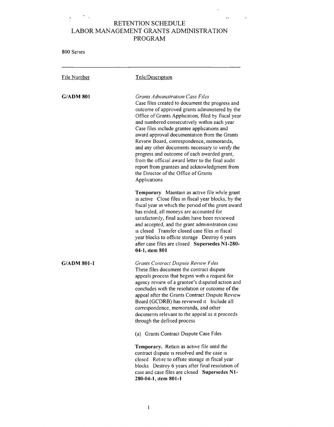## $\frac{1}{2}$  ,  $\frac{1}{2}$  ,  $\frac{1}{2}$  ,  $\frac{1}{2}$  $\mathcal{A}(\mathbf{r})$  . RETENTION SCHEDULE LABOR MANAGEMENT GRANTS ADMINISTRATION PROGRAM

 $\sim$ 

 $\sim$   $\star$ 

| 800 Series       |                                                                                                                                                                                                                                                                                                                                                                                                                                                                                                                                                                                                                                                      |
|------------------|------------------------------------------------------------------------------------------------------------------------------------------------------------------------------------------------------------------------------------------------------------------------------------------------------------------------------------------------------------------------------------------------------------------------------------------------------------------------------------------------------------------------------------------------------------------------------------------------------------------------------------------------------|
| File Number      | Title/Description                                                                                                                                                                                                                                                                                                                                                                                                                                                                                                                                                                                                                                    |
| <b>G/ADM 801</b> | Grants Administration Case Files<br>Case files created to document the progress and<br>outcome of approved grants administered by the<br>Office of Grants Application, filed by fiscal year<br>and numbered consecutively within each year<br>Case files include grantee applications and<br>award approval documentation from the Grants<br>Review Board, correspondence, memoranda,<br>and any other documents necessary to verify the<br>progress and outcome of each awarded grant,<br>from the official award letter to the final audit<br>report from grantees and acknowledgment from<br>the Director of the Office of Grants<br>Applications |
|                  | Temporary Maintain as active file while grant<br>is active Close files in fiscal year blocks, by the<br>fiscal year in which the period of the grant award<br>has ended, all moneys are accounted for<br>satisfactorily, final audits have been reviewed<br>and accepted, and the grant administration case<br>is closed Transfer closed case files in fiscal<br>year blocks to offsite storage  Destroy 6 years<br>after case files are closed Supersedes N1-280-<br>04-1, item 801                                                                                                                                                                 |
| G/ADM 801-1      | <b>Grants Contract Dispute Review Files</b><br>These files document the contract dispute<br>appeals process that begins with a request for<br>agency review of a grantee's disputed action and<br>concludes with the resolution or outcome of the<br>appeal after the Grants Contract Dispute Review<br>Board (GCDRB) has reviewed it Include all<br>correspondence, memoranda, and other<br>documents relevant to the appeal as it proceeds<br>through the defined process                                                                                                                                                                          |
|                  | (a) Grants Contract Dispute Case Files                                                                                                                                                                                                                                                                                                                                                                                                                                                                                                                                                                                                               |
|                  | Temporary. Retain as active file until the<br>contract dispute is resolved and the case is<br>closed Reture to offsite storage in fiscal year<br>blocks Destroy 6 years after final resolution of<br>case and case files are closed Supersedes N1-<br>280-04-1, item 801-1                                                                                                                                                                                                                                                                                                                                                                           |